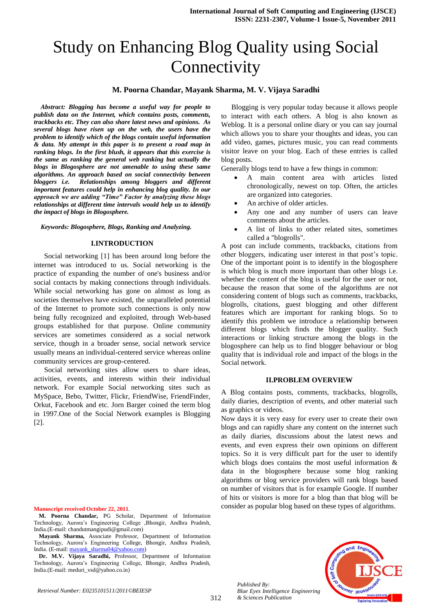# Study on Enhancing Blog Quality using Social **Connectivity**

## **M. Poorna Chandar, Mayank Sharma, M. V. Vijaya Saradhi**

*Abstract: Blogging has become a useful way for people to publish data on the Internet, which contains posts, comments, trackbacks etc. They can also share latest news and opinions. As several blogs have risen up on the web, the users have the problem to identify which of the blogs contain useful information & data. My attempt in this paper is to present a road map in ranking blogs. In the first blush, it appears that this exercise is the same as ranking the general web ranking but actually the blogs in Blogosphere are not amenable to using these same algorithms. An approach based on social connectivity between bloggers i.e. Relationships among bloggers and different important features could help in enhancing blog quality. In our approach we are adding "Time" Factor by analyzing these blogs relationships at different time intervals would help us to identify the impact of blogs in Blogosphere.*

*Keywords: Blogosphere, Blogs, Ranking and Analyzing.*

#### **I.INTRODUCTION**

Social networking [1] has been around long before the internet was introduced to us. Social networking is the practice of expanding the number of one's business and/or social contacts by making connections through individuals. While social networking has gone on almost as long as societies themselves have existed, the unparalleled potential of the Internet to promote such connections is only now being fully recognized and exploited, through Web-based groups established for that purpose. Online community services are sometimes considered as a social network service, though in a broader sense, social network service usually means an individual-centered service whereas online community services are group-centered.

Social networking sites allow users to share ideas, activities, events, and interests within their individual network. For example Social networking sites such as MySpace, Bebo, Twitter, Flickr, FriendWise, FriendFinder, Orkut, Facebook and etc. Jorn Barger coined the term blog in 1997.One of the Social Network examples is Blogging [2].

**Manuscript received October 22, 2011**.

- **M. Poorna Chandar,** PG Scholar, Department of Information Technology, Aurora"s Engineering College ,Bhongir, Andhra Pradesh, India.(E-mail: chandutmangipudi@gmail.com)
- **Mayank Sharma,** Associate Professor, Department of Information Technology, Aurora"s Engineering College, Bhongir, Andhra Pradesh, India. (E-mail: [mayank\\_sharma04@yahoo.com\)](mailto:mayank_sharma04@yahoo.com)

**Dr. M.V. Vijaya Saradhi,** Professor, Department of Information Technology, Aurora"s Engineering College, Bhongir, Andhra Pradesh, India.(E-mail: meduri\_vsd@yahoo.co.in)

Blogging is very popular today because it allows people to interact with each others. A blog is also known as Weblog. It is a personal online diary or you can say journal which allows you to share your thoughts and ideas, you can add video, games, pictures music, you can read comments visitor leave on your blog. Each of these entries is called blog posts.

Generally blogs tend to have a few things in common:

- A main content area with articles listed chronologically, newest on top. Often, the articles are organized into categories.
- An archive of older articles.
- Any one and any number of users can leave comments about the articles.
- A list of links to other related sites, sometimes called a "blogrolls".

A post can include comments, trackbacks, citations from other bloggers, indicating user interest in that post"s topic. One of the important point is to identify in the blogosphere is which blog is much more important than other blogs i.e. whether the content of the blog is useful for the user or not, because the reason that some of the algorithms are not considering content of blogs such as comments, trackbacks, blogrolls, citations, guest blogging and other different features which are important for ranking blogs. So to identify this problem we introduce a relationship between different blogs which finds the blogger quality. Such interactions or linking structure among the blogs in the blogosphere can help us to find blogger behaviour or blog quality that is individual role and impact of the blogs in the Social network.

#### **II.PROBLEM OVERVIEW**

A Blog contains posts, comments, trackbacks, blogrolls, daily diaries, description of events, and other material such as graphics or videos.

Now days it is very easy for every user to create their own blogs and can rapidly share any content on the internet such as daily diaries, discussions about the latest news and events, and even express their own opinions on different topics. So it is very difficult part for the user to identify which blogs does contains the most useful information & data in the blogosphere because some blog ranking algorithms or blog service providers will rank blogs based on number of visitors that is for example Google. If number of hits or visitors is more for a blog than that blog will be consider as popular blog based on these types of algorithms.



*Published By: Blue Eyes Intelligence Engineering & Sciences Publication*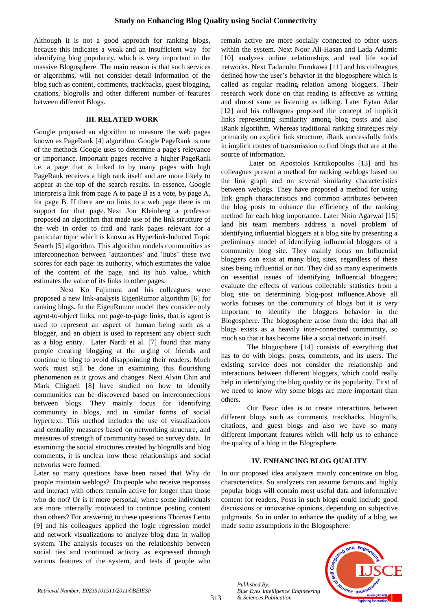Although it is not a good approach for ranking blogs, because this indicates a weak and an insufficient way for identifying blog popularity, which is very important in the massive Blogosphere. The main reason is that such services or algorithms, will not consider detail information of the blog such as content, comments, trackbacks, guest blogging, citations, blogrolls and other different number of features between different Blogs.

## **III. RELATED WORK**

Google proposed an algorithm to measure the web pages known as PageRank [4] algorithm. Google PageRank is one of the methods Google uses to determine a page's relevance or importance. Important pages receive a higher PageRank i.e. a page that is linked to by many pages with high PageRank receives a high rank itself and are more likely to appear at the top of the search results. In essence, Google interprets a link from page A to page B as a vote, by page A, for page B. If there are no links to a web page there is no support for that page. Next Jon Kleinberg a professor proposed an algorithm that made use of the link structure of the web in order to find and rank pages relevant for a particular topic which is known as Hyperlink-Induced Topic Search [5] algorithm. This algorithm models communities as interconnection between 'authorities' and 'hubs' these two scores for each page: its authority, which estimates the value of the content of the page, and its hub value, which estimates the value of its links to other pages.

Next Ko Fujimura and his colleagues were proposed a new link-analysis EigenRumor algorithm [6] for ranking blogs. In the EigenRumor model they consider only agent-to-object links, not page-to-page links, that is agent is used to represent an aspect of human being such as a blogger, and an object is used to represent any object such as a blog entity. Later Nardi et al. [7] found that many people creating blogging at the urging of friends and continue to blog to avoid disappointing their readers. Much work must still be done in examining this flourishing phenomenon as it grows and changes. Next Alvin Chin and Mark Chignell [8] have studied on how to identify communities can be discovered based on interconnections between blogs. They mainly focus for identifying community in blogs, and in similar forms of social hypertext. This method includes the use of visualizations and centrality measures based on networking structure, and measures of strength of community based on survey data. In examining the social structures created by blogrolls and blog comments, it is unclear how these relationships and social networks were formed.

Later so many questions have been raised that Why do people maintain weblogs? Do people who receive responses and interact with others remain active for longer than those who do not? Or is it more personal, where some individuals are more internally motivated to continue posting content than others? For answering to these questions Thomas Lento [9] and his colleagues applied the logic regression model and network visualizations to analyze blog data in wallop system. The analysis focuses on the relationship between social ties and continued activity as expressed through various features of the system, and tests if people who

remain active are more socially connected to other users within the system. Next Noor Ali-Hasan and Lada Adamic [10] analyzes online relationships and real life social networks. Next Tadanobu Furukawa [11] and his colleagues defined how the user"s behavior in the blogosphere which is called as regular reading relation among bloggers. Their research work done on that reading is affective as writing and almost same as listening as talking. Later Eytan Adar [12] and his colleagues proposed the concept of implicit links representing similarity among blog posts and also iRank algorithm. Whereas traditional ranking strategies rely primarily on explicit link structure, iRank successfully folds in implicit routes of transmission to find blogs that are at the source of information.

Later on Apostolos Kritikopoulos [13] and his colleagues present a method for ranking weblogs based on the link graph and on several similarity characteristics between weblogs. They have proposed a method for using link graph characteristics and common attributes between the blog posts to enhance the efficiency of the ranking method for each blog importance. Later Nitin Agarwal [15] land his team members address a novel problem of identifying influential bloggers at a blog site by presenting a preliminary model of identifying influential bloggers of a community blog site. They mainly focus on Influential bloggers can exist at many blog sites, regardless of these sites being influential or not. They did so many experiments on essential issues of identifying Influential bloggers; evaluate the effects of various collectable statistics from a blog site on determining blog-post influence.Above all works focuses on the community of blogs but it is very important to identify the bloggers behavior in the Blogosphere. The blogosphere arose from the idea that all blogs exists as a heavily inter-connected community, so much so that it has become like a social network in itself.

The blogosphere [14] consists of everything that has to do with blogs: posts, comments, and its users. The existing service does not consider the relationship and interactions between different bloggers, which could really help in identifying the blog quality or its popularity. First of we need to know why some blogs are more important than others.

Our Basic idea is to create interactions between different blogs such as comments, trackbacks, blogrolls, citations, and guest blogs and also we have so many different important features which will help us to enhance the quality of a blog in the Blogosphere.

# **IV. ENHANCING BLOG QUALITY**

In our proposed idea analyzers mainly concentrate on blog characteristics. So analyzers can assume famous and highly popular blogs will contain most useful data and informative content for readers. Posts in such blogs could include good discussions or innovative opinions, depending on subjective judgments. So in order to enhance the quality of a blog we made some assumptions in the Blogosphere:



*Published By: Blue Eyes Intelligence Engineering & Sciences Publication*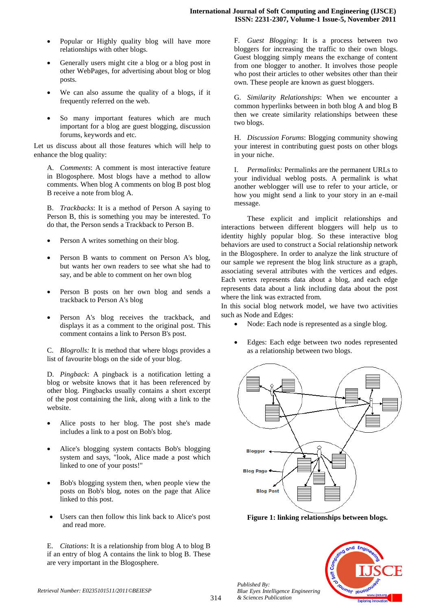- Popular or Highly quality blog will have more relationships with other blogs.
- Generally users might cite a blog or a blog post in other WebPages, for advertising about blog or blog posts.
- We can also assume the quality of a blogs, if it frequently referred on the web.
- So many important features which are much important for a blog are guest blogging, discussion forums, keywords and etc.

Let us discuss about all those features which will help to enhance the blog quality:

A. *Comments*: A comment is most interactive feature in Blogosphere. Most blogs have a method to allow comments. When blog A comments on blog B post blog B receive a note from blog A.

B. *Trackbacks*: It is a method of Person A saying to Person B, this is something you may be interested. To do that, the Person sends a Trackback to Person B.

- Person A writes something on their blog.
- Person B wants to comment on Person A's blog, but wants her own readers to see what she had to say, and be able to comment on her own blog
- Person B posts on her own blog and sends a trackback to Person A's blog
- Person A's blog receives the trackback, and displays it as a comment to the original post. This comment contains a link to Person B's post.

C. *Blogrolls:* It is method that where blogs provides a list of favourite blogs on the side of your blog.

D. *Pingback*: A pingback is a notification letting a blog or website knows that it has been referenced by other blog. Pingbacks usually contains a short excerpt of the post containing the link, along with a link to the website.

- Alice posts to her blog. The post she's made includes a link to a post on Bob's blog.
- Alice's blogging system contacts Bob's blogging system and says, "look, Alice made a post which linked to one of your posts!"
- Bob's blogging system then, when people view the posts on Bob's blog, notes on the page that Alice linked to this post.
- Users can then follow this link back to Alice's post and read more.

E. *Citations*: It is a relationship from blog A to blog B if an entry of blog A contains the link to blog B. These are very important in the Blogosphere.

F. *Guest Blogging*: It is a process between two bloggers for increasing the traffic to their own blogs. Guest blogging simply means the exchange of content from one blogger to another. It involves those people who post their articles to other websites other than their own. These people are known as guest bloggers.

G. *Similarity Relationships*: When we encounter a common hyperlinks between in both blog A and blog B then we create similarity relationships between these two blogs.

H. *Discussion Forums*: Blogging community showing your interest in contributing guest posts on other blogs in your niche.

I. *Permalinks:* Permalinks are the permanent URLs to your individual weblog posts. A permalink is what another weblogger will use to refer to your article, or how you might send a link to your story in an e-mail message.

These explicit and implicit relationships and interactions between different bloggers will help us to identity highly popular blog. So these interactive blog behaviors are used to construct a Social relationship network in the Blogosphere. In order to analyze the link structure of our sample we represent the blog link structure as a graph, associating several attributes with the vertices and edges. Each vertex represents data about a blog, and each edge represents data about a link including data about the post where the link was extracted from.

In this social blog network model, we have two activities such as Node and Edges:

- Node: Each node is represented as a single blog.
- Edges: Each edge between two nodes represented as a relationship between two blogs.



**Figure 1: linking relationships between blogs.**



*Published By:*

*& Sciences Publication* 

*Blue Eyes Intelligence Engineering*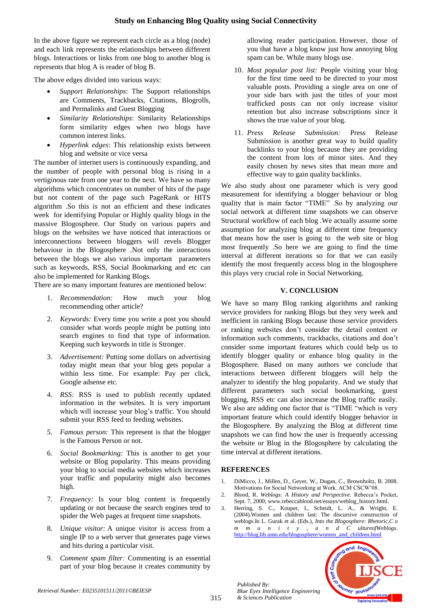In the above figure we represent each circle as a blog (node) and each link represents the relationships between different blogs. Interactions or links from one blog to another blog is represents that blog A is reader of blog B.

The above edges divided into various ways:

- *Support Relationships*: The Support relationships are Comments, Trackbacks, Citations, Blogrolls, and Permalinks and Guest Blogging
- *Similarity Relationships*: Similarity Relationships form similarity edges when two blogs have common interest links.
- *Hyperlink edges*: This relationship exists between blog and website or vice versa

The number of internet users is continuously expanding, and the number of people with personal blog is rising in a vertiginous rate from one year to the next. We have so many algorithms which concentrates on number of hits of the page but not content of the page such PageRank or HITS algorithm .So this is not an efficient and these indicates week for identifying Popular or Highly quality blogs in the massive Blogosphere. Our Study on various papers and blogs on the websites we have noticed that interactions or interconnections between bloggers will revels Blogger behaviour in the Blogosphere .Not only the interactions between the blogs we also various important parameters such as keywords, RSS, Social Bookmarking and etc can also be implemented for Ranking Blogs.

There are so many important features are mentioned below:

- 1. *Recommendation:* How much your blog recommending other article?
- 2. *Keywords:* Every time you write a post you should consider what words people might be putting into search engines to find that type of information. Keeping such keywords in title is Stronger.
- 3. *Advertisement:* Putting some dollars on advertising today might mean that your blog gets popular a within less time. For example: Pay per click, Google adsense etc.
- 4. *RSS:* RSS is used to publish recently updated information in the websites. It is very important which will increase your blog"s traffic. You should submit your RSS feed to feeding websites.
- 5. *Famous person:* This represent is that the blogger is the Famous Person or not.
- 6. *Social Bookmarking:* This is another to get your website or Blog popularity. This means providing your blog to social media websites which increases your traffic and popularity might also becomes high.
- 7. *Frequency:* Is your blog content is frequently updating or not because the search engines tend to spider the Web pages at frequent time snapshots.
- 8. *Unique visitor:* A unique visitor is access from a single IP to a web server that generates page views and hits during a particular visit.
- 9. *Comment spam filter:* Commenting is an essential part of your blog because it creates community by

allowing reader participation. However, those of you that have a blog know just how annoying blog spam can be. While many blogs use.

- 10. *Most popular post list:* People visiting your blog for the first time need to be directed to your most valuable posts. Providing a single area on one of your side bars with just the titles of your most trafficked posts can not only increase visitor retention but also increase subscriptions since it shows the true value of your blog.
- 11. *Press Release Submission:* Press Release Submission is another great way to build quality backlinks to your blog because they are providing the content from lots of minor sites. And they easily chosen by news sites that mean more and effective way to gain quality backlinks.

We also study about one parameter which is very good measurement for identifying a blogger behaviour or blog quality that is main factor "TIME" .So by analyzing our social network at different time snapshots we can observe Structural workflow of each blog .We actually assume some assumption for analyzing blog at different time frequency that means how the user is going to the web site or blog most frequently .So here we are going to find the time interval at different iterations so for that we can easily identify the most frequently access blog in the blogosphere this plays very crucial role in Social Networking.

# **V. CONCLUSION**

We have so many Blog ranking algorithms and ranking service providers for ranking Blogs but they very week and inefficient in ranking Blogs because those service providers or ranking websites don"t consider the detail content or information such comments, trackbacks, citations and don"t consider some important features which could help us to identify blogger quality or enhance blog quality in the Blogosphere. Based on many authors we conclude that interactions between different bloggers will help the analyzer to identify the blog popularity. And we study that different parameters such social bookmarking, guest blogging, RSS etc can also increase the Blog traffic easily. We also are adding one factor that is "TIME "which is very important feature which could identify blogger behavior in the Blogosphere. By analyzing the Blog at different time snapshots we can find how the user is frequently accessing the website or Blog in the Blogosphere by calculating the time interval at different iterations.

# **REFERENCES**

*Published By:*

*& Sciences Publication* 

- 1. DiMicco, J., Millen, D., Geyer, W., Dugan, C., Brownholtz, B. 2008. Motivations for Social Networking at Work. ACM CSCW"08.
- 2. Blood, R. *Weblogs: A History and Perspective.* Rebecca"s Pocket, Sept. 7, 2000; www.rebeccablood.net/essays/weblog\_history.html.
- 3. Herring, S. C., Kouper, I., Scheidt, L. A., & Wright, E. (2004).Women and children last: The discursive construction of weblogs.In L. Gurak et al. (Eds.), *Into the Blogosphere: Rhetoric,C o m m u n i t y , a n d C ultureofWeblogs.* [http://blog.lib.umn.edu/blogosphere/women\\_and\\_children.html](http://blog.lib.umn.edu/blogosphere/women_and_children.html)